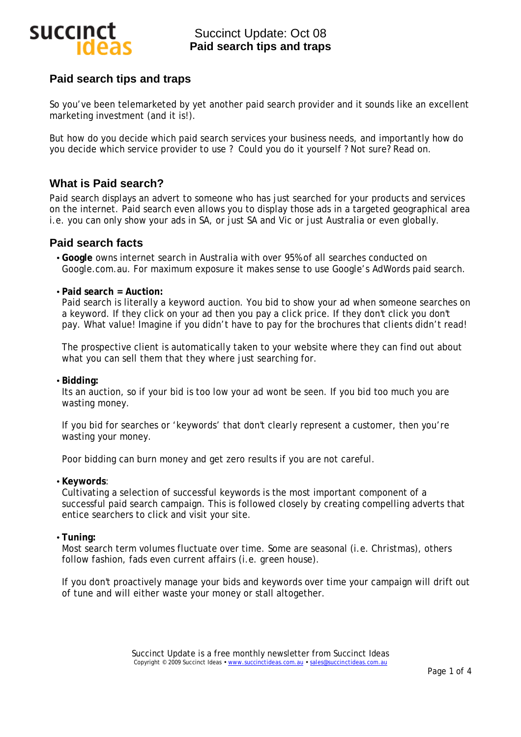

# **Paid search tips and traps**

So you've been telemarketed by yet another paid search provider and it sounds like an excellent marketing investment (and it is!).

But how do you decide which paid search services your business needs, and importantly how do you decide which service provider to use ? Could you do it yourself ? Not sure? Read on.

# **What is Paid search?**

Paid search displays an advert to someone who has just searched for your products and services on the internet. Paid search even allows you to display those ads in a targeted geographical area i.e. you can only show your ads in SA, or just SA and Vic or just Australia or even globally.

## **Paid search facts**

- **Google** owns internet search in Australia with over 95% of all searches conducted on Google.com.au. For maximum exposure it makes sense to use Google's AdWords paid search.
- **Paid search = Auction:**

Paid search is literally a keyword auction. You bid to show your ad when someone searches on a keyword. If they click on your ad then you pay a click price. If they don't click you don't pay. What value! Imagine if you didn't have to pay for the brochures that clients didn't read!

The prospective client is automatically taken to your website where they can find out about what you can sell them that they where just searching for.

• **Bidding:** 

Its an auction, so if your bid is too low your ad wont be seen. If you bid too much you are wasting money.

If you bid for searches or 'keywords' that don't clearly represent a customer, then you're wasting your money.

Poor bidding can burn money and get zero results if you are not careful.

#### • **Keywords**:

Cultivating a selection of successful keywords is the most important component of a successful paid search campaign. This is followed closely by creating compelling adverts that entice searchers to click and visit your site.

#### • **Tuning:**

Most search term volumes fluctuate over time. Some are seasonal (i.e. *Christmas)*, others follow fashion, fads even current affairs (i.e. *green house*).

If you don't proactively manage your bids and keywords over time your campaign will drift out of tune and will either waste your money or stall altogether.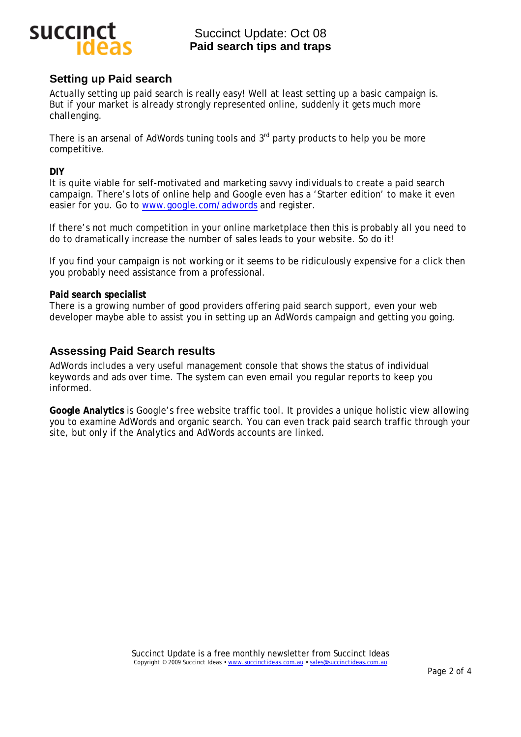

# Succinct Update: Oct 08 **Paid search tips and traps**

## **Setting up Paid search**

Actually setting up paid search is really easy! Well at least setting up a basic campaign is. But if your market is already strongly represented online, suddenly it gets much more challenging.

There is an arsenal of AdWords tuning tools and  $3<sup>rd</sup>$  party products to help you be more competitive.

### **DIY**

It is quite viable for self-motivated and marketing savvy individuals to create a paid search campaign. There's lots of online help and Google even has a 'Starter edition' to make it even easier for you. Go to [www.google.com/adwords](http://www.google.com/adwords) and register.

If there's not much competition in your online marketplace then this is probably all you need to do to dramatically increase the number of sales leads to your website. So do it!

If you find your campaign is not working or it seems to be ridiculously expensive for a click then you probably need assistance from a professional.

### **Paid search specialist**

There is a growing number of good providers offering paid search support, even your web developer maybe able to assist you in setting up an AdWords campaign and getting you going.

## **Assessing Paid Search results**

AdWords includes a very useful management console that shows the status of individual keywords and ads over time. The system can even email you regular reports to keep you informed.

**Google Analytics** is Google's free website traffic tool. It provides a unique holistic view allowing you to examine AdWords and organic search. You can even track paid search traffic through your site, but only if the Analytics and AdWords accounts are linked.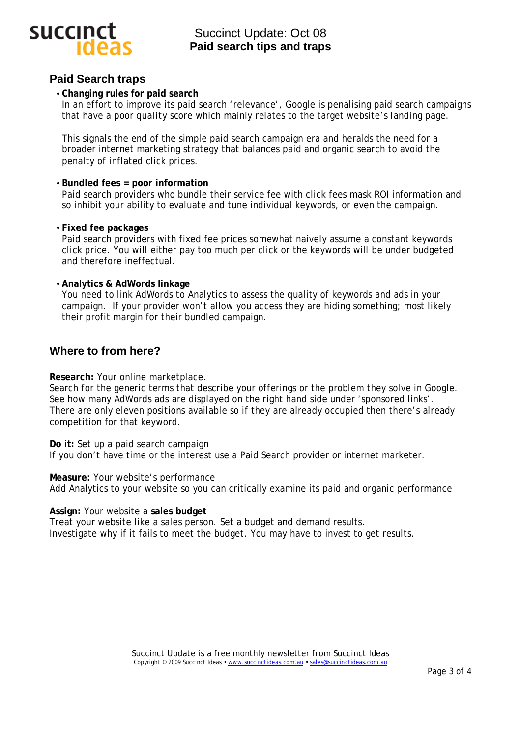

# **Paid Search traps**

• **Changing rules for paid search**

In an effort to improve its paid search 'relevance', Google is penalising paid search campaigns that have a poor *quality score* which mainly relates to the target website's *landing page.* 

This signals the end of the simple paid search campaign era and heralds the need for a broader internet marketing strategy that balances paid and organic search to avoid the penalty of inflated click prices.

## • **Bundled fees = poor information**

Paid search providers who bundle their service fee with click fees mask ROI information and so inhibit your ability to evaluate and tune individual keywords, or even the campaign.

### • **Fixed fee packages**

Paid search providers with fixed fee prices somewhat naively assume a constant keywords click price. You will either pay too much per click or the keywords will be under budgeted and therefore ineffectual.

## • **Analytics & AdWords linkage**

You need to link AdWords *to* Analytics to assess the quality of keywords and ads in your campaign. If your provider won't allow you access they are hiding something; most likely their profit margin for their bundled campaign.

# **Where to from here?**

**Research:** Your online marketplace.

Search for the generic terms that describe your offerings or the problem they solve in Google. See how many AdWords ads are displayed on the right hand side under 'sponsored links'. There are only eleven positions available so if they are already occupied then there's already competition for that keyword.

**Do it:** Set up a paid search campaign If you don't have time or the interest use a Paid Search provider or internet marketer.

**Measure:** Your website's performance Add Analytics to your website so you can critically examine its paid and organic performance

### **Assign:** Your website a **sales budget**

Treat your website like a sales person. Set a budget and demand results. Investigate why if it fails to meet the budget. You may have to invest to get results.